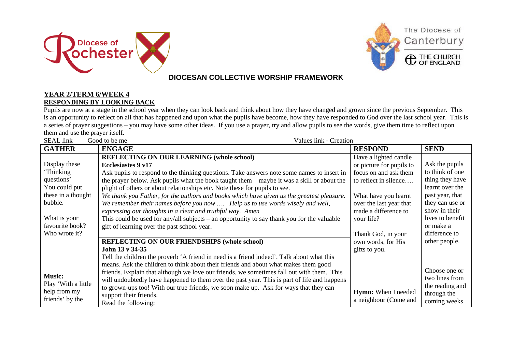



### **DIOCESAN COLLECTIVE WORSHIP FRAMEWORK**

#### **YEAR 2/TERM 6/WEEK 4 RESPONDING BY LOOKING BACK**

Pupils are now at a stage in the school year when they can look back and think about how they have changed and grown since the previous September. This is an opportunity to reflect on all that has happened and upon what the pupils have become, how they have responded to God over the last school year. This is a series of prayer suggestions – you may have some other ideas. If you use a prayer, try and allow pupils to see the words, give them time to reflect upon them and use the prayer itself.

| <b>SEAL</b> link<br>Good to be me<br>Values link - Creation |                                                                                             |                            |                  |
|-------------------------------------------------------------|---------------------------------------------------------------------------------------------|----------------------------|------------------|
| <b>GATHER</b>                                               | <b>ENGAGE</b>                                                                               | <b>RESPOND</b>             | <b>SEND</b>      |
|                                                             | <b>REFLECTING ON OUR LEARNING (whole school)</b>                                            | Have a lighted candle      |                  |
| Display these                                               | <b>Ecclesiastes 9 v17</b>                                                                   | or picture for pupils to   | Ask the pupils   |
| 'Thinking                                                   | Ask pupils to respond to the thinking questions. Take answers note some names to insert in  | focus on and ask them      | to think of one  |
| questions'                                                  | the prayer below. Ask pupils what the book taught them – maybe it was a skill or about the  | to reflect in silence      | thing they have  |
| You could put                                               | plight of others or about relationships etc. Note these for pupils to see.                  |                            | learnt over the  |
| these in a thought                                          | We thank you Father, for the authors and books which have given us the greatest pleasure.   | What have you learnt       | past year, that  |
| bubble.                                                     | We remember their names before you now  Help us to use words wisely and well,               | over the last year that    | they can use or  |
|                                                             | expressing our thoughts in a clear and truthful way. Amen                                   | made a difference to       | show in their    |
| What is your                                                | This could be used for any/all subjects – an opportunity to say thank you for the valuable  | your life?                 | lives to benefit |
| favourite book?                                             | gift of learning over the past school year.                                                 |                            | or make a        |
| Who wrote it?                                               |                                                                                             | Thank God, in your         | difference to    |
|                                                             | <b>REFLECTING ON OUR FRIENDSHIPS (whole school)</b>                                         | own words, for His         | other people.    |
|                                                             | John 13 v 34-35                                                                             | gifts to you.              |                  |
|                                                             | Tell the children the proverb 'A friend in need is a friend indeed'. Talk about what this   |                            |                  |
|                                                             | means. Ask the children to think about their friends and about what makes them good         |                            |                  |
| <b>Music:</b>                                               | friends. Explain that although we love our friends, we sometimes fall out with them. This   |                            | Choose one or    |
| Play 'With a little                                         | will undoubtedly have happened to them over the past year. This is part of life and happens |                            | two lines from   |
| help from my                                                | to grown-ups too! With our true friends, we soon make up. Ask for ways that they can        | <b>Hymn:</b> When I needed | the reading and  |
| friends' by the                                             | support their friends.                                                                      | a neighbour (Come and      | through the      |
|                                                             | Read the following;                                                                         |                            | coming weeks     |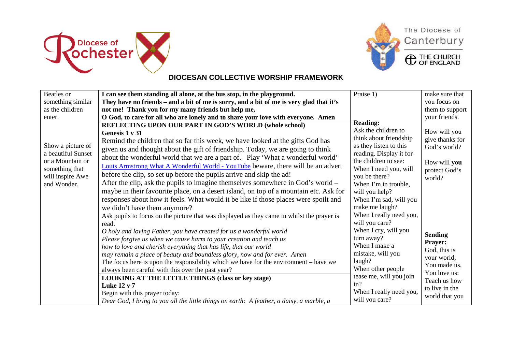



# The Diocese of Canterbury

**C** THE CHURCH

### **DIOCESAN COLLECTIVE WORSHIP FRAMEWORK**

| Beatles or         | I can see them standing all alone, at the bus stop, in the playground.                     | Praise 1)               | make sure that  |
|--------------------|--------------------------------------------------------------------------------------------|-------------------------|-----------------|
| something similar  | They have no friends – and a bit of me is sorry, and a bit of me is very glad that it's    |                         | you focus on    |
| as the children    |                                                                                            |                         |                 |
|                    | not me! Thank you for my many friends but help me,                                         |                         | them to support |
| enter.             | O God, to care for all who are lonely and to share your love with everyone. Amen           | <b>Reading:</b>         | your friends.   |
|                    | REFLECTING UPON OUR PART IN GOD'S WORLD (whole school)                                     | Ask the children to     |                 |
|                    | Genesis 1 v 31                                                                             |                         | How will you    |
|                    | Remind the children that so far this week, we have looked at the gifts God has             | think about friendship  | give thanks for |
| Show a picture of  | given us and thought about the gift of friendship. Today, we are going to think            | as they listen to this  | God's world?    |
| a beautiful Sunset | about the wonderful world that we are a part of. Play 'What a wonderful world'             | reading. Display it for |                 |
| or a Mountain or   | Louis Armstrong What A Wonderful World - YouTube beware, there will be an advert           | the children to see:    | How will you    |
| something that     |                                                                                            | When I need you, will   | protect God's   |
| will inspire Awe   | before the clip, so set up before the pupils arrive and skip the ad!                       | you be there?           | world?          |
| and Wonder.        | After the clip, ask the pupils to imagine themselves somewhere in God's world –            | When I'm in trouble,    |                 |
|                    | maybe in their favourite place, on a desert island, on top of a mountain etc. Ask for      | will you help?          |                 |
|                    | responses about how it feels. What would it be like if those places were spoilt and        | When I'm sad, will you  |                 |
|                    | we didn't have them anymore?                                                               | make me laugh?          |                 |
|                    | Ask pupils to focus on the picture that was displayed as they came in whilst the prayer is | When I really need you, |                 |
|                    | read.                                                                                      | will you care?          |                 |
|                    | O holy and loving Father, you have created for us a wonderful world                        | When I cry, will you    |                 |
|                    | Please forgive us when we cause harm to your creation and teach us                         | turn away?              | <b>Sending</b>  |
|                    | how to love and cherish everything that has life, that our world                           | When I make a           | <b>Prayer:</b>  |
|                    | may remain a place of beauty and boundless glory, now and for ever. Amen                   | mistake, will you       | God, this is    |
|                    | The focus here is upon the responsibility which we have for the environment – have we      | laugh?                  | your world,     |
|                    |                                                                                            | When other people       | You made us,    |
|                    | always been careful with this over the past year?                                          | tease me, will you join | You love us:    |
|                    | <b>LOOKING AT THE LITTLE THINGS (class or key stage)</b>                                   | in?                     | Teach us how    |
|                    | <b>Luke 12 v 7</b>                                                                         |                         | to live in the  |
|                    | Begin with this prayer today:                                                              | When I really need you, | world that you  |
|                    | Dear God, I bring to you all the little things on earth: A feather, a daisy, a marble, a   | will you care?          |                 |